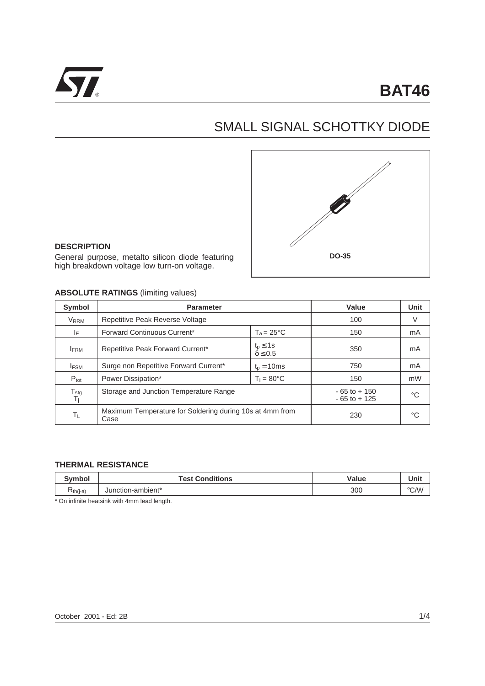

# SMALL SIGNAL SCHOTTKY DIODE



#### **DESCRIPTION**

General purpose, metalto silicon diode featuring high breakdown voltage low turn-on voltage.

#### **ABSOLUTE RATINGS** (limiting values)

| Symbol                                | <b>Parameter</b>                                                 |                                     | Value                              | <b>Unit</b> |
|---------------------------------------|------------------------------------------------------------------|-------------------------------------|------------------------------------|-------------|
| <b>V</b> <sub>RRM</sub>               | Repetitive Peak Reverse Voltage                                  |                                     | 100                                | V           |
| ΙF                                    | <b>Forward Continuous Current*</b>                               | $T_a = 25^{\circ}C$                 | 150                                | mA          |
| <b>IFRM</b>                           | Repetitive Peak Forward Current*                                 | $t_p \leq 1$ s<br>$\delta \leq 0.5$ | 350                                | mA          |
| <b>IFSM</b>                           | Surge non Repetitive Forward Current*                            | $tp = 10ms$                         | 750                                | mA          |
| $P_{\text{tot}}$                      | Power Dissipation*                                               | $T_1 = 80^{\circ}$ C                | 150                                | mW          |
| $\frac{T_{\text{stg}}}{T_{\text{i}}}$ | Storage and Junction Temperature Range                           |                                     | $-65$ to $+150$<br>$-65$ to $+125$ | °C          |
| ΤL                                    | Maximum Temperature for Soldering during 10s at 4mm from<br>Case |                                     | 230                                | °C          |

#### **THERMAL RESISTANCE**

| <b>Symbol</b> | <b>Test Conditions</b> | Value | Unit               |
|---------------|------------------------|-------|--------------------|
| ≺ีth(j-a`     | Junction-ambient*      | 300   | $\rm ^{\circ}$ C/W |

\* On infinite heatsink with 4mm lead length.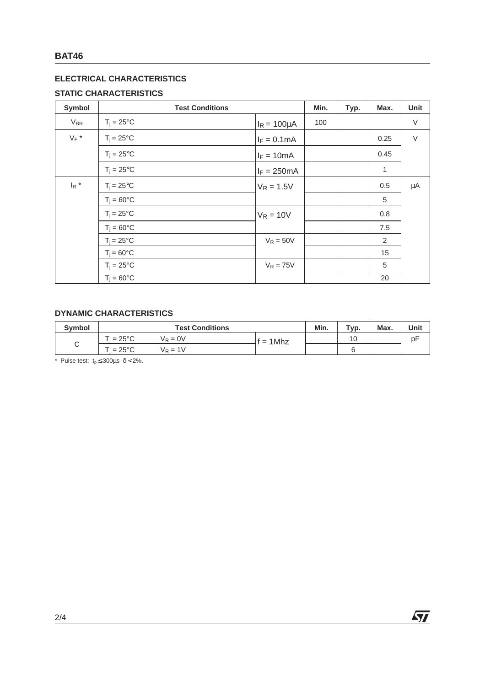# **ELECTRICAL CHARACTERISTICS**

## **STATIC CHARACTERISTICS**

| Symbol                         | <b>Test Conditions</b> |                       | Min. | Typ. | Max. | Unit    |
|--------------------------------|------------------------|-----------------------|------|------|------|---------|
| <b>V<sub>BR</sub></b>          | $T_i = 25^{\circ}C$    | $I_R = 100 \mu A$     | 100  |      |      | $\vee$  |
| $V_F$ *                        | $T_i = 25^{\circ}C$    | $I_F = 0.1 \text{mA}$ |      |      | 0.25 | $\vee$  |
|                                | $T_i = 25^{\circ}C$    | $I_F = 10mA$          |      |      | 0.45 |         |
|                                | $T_i = 25^{\circ}C$    | $I_F = 250mA$         |      |      | 1    |         |
| $\mathsf{I}_{\mathsf{R}}$ $^*$ | $T_i = 25^{\circ}C$    | $V_R = 1.5V$          |      |      | 0.5  | $\mu$ A |
|                                | $T_i = 60^{\circ}C$    |                       |      |      | 5    |         |
|                                | $T_i = 25^{\circ}C$    | $V_R = 10V$           |      |      | 0.8  |         |
|                                | $T_j = 60^{\circ}C$    |                       |      |      | 7.5  |         |
|                                | $T_i = 25^{\circ}C$    | $V_R = 50V$           |      |      | 2    |         |
|                                | $T_i = 60^{\circ}C$    |                       |      |      | 15   |         |
|                                | $T_i = 25^{\circ}C$    | $V_R = 75V$           |      |      | 5    |         |
|                                | $T_i = 60^{\circ}C$    |                       |      |      | 20   |         |

#### **DYNAMIC CHARACTERISTICS**

| <b>Symbol</b> | <b>Test Conditions</b>                                                    |  | Typ. | Max. | Unit |
|---------------|---------------------------------------------------------------------------|--|------|------|------|
| ⌒<br>◡        | $\mathsf{\Gamma}_{\mathsf{i}} = 25^\circ\mathsf{C}$<br>$V_R = 0V$<br>1Mhz |  | 10   |      | рF   |
|               | $\mathrm{^{r_i}}$ = 25°C<br>$V_R = 1V$                                    |  |      |      |      |

\* Pulse test:  $t_p \le 300 \mu s \delta < 2\%$ .

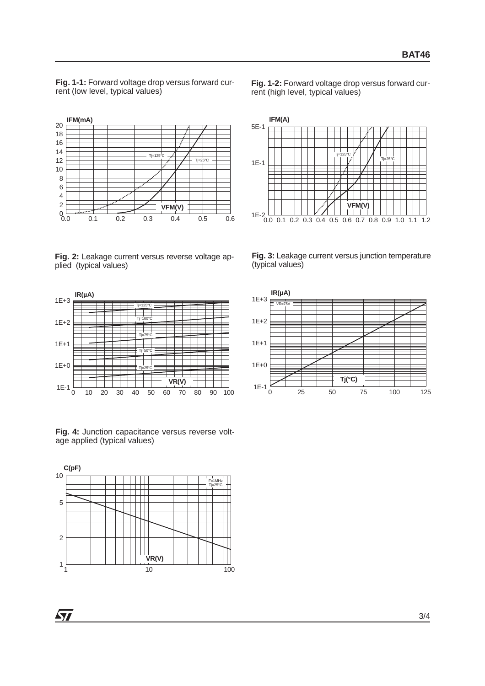**Fig. 1-1:** Forward voltage drop versus forward current (low level, typical values)

**Fig. 1-2:** Forward voltage drop versus forward current (high level, typical values)



**Fig. 2:** Leakage current versus reverse voltage applied (typical values)



**Fig. 4:** Junction capacitance versus reverse voltage applied (typical values)





**Fig. 3:** Leakage current versus junction temperature (typical values)



**Syr**